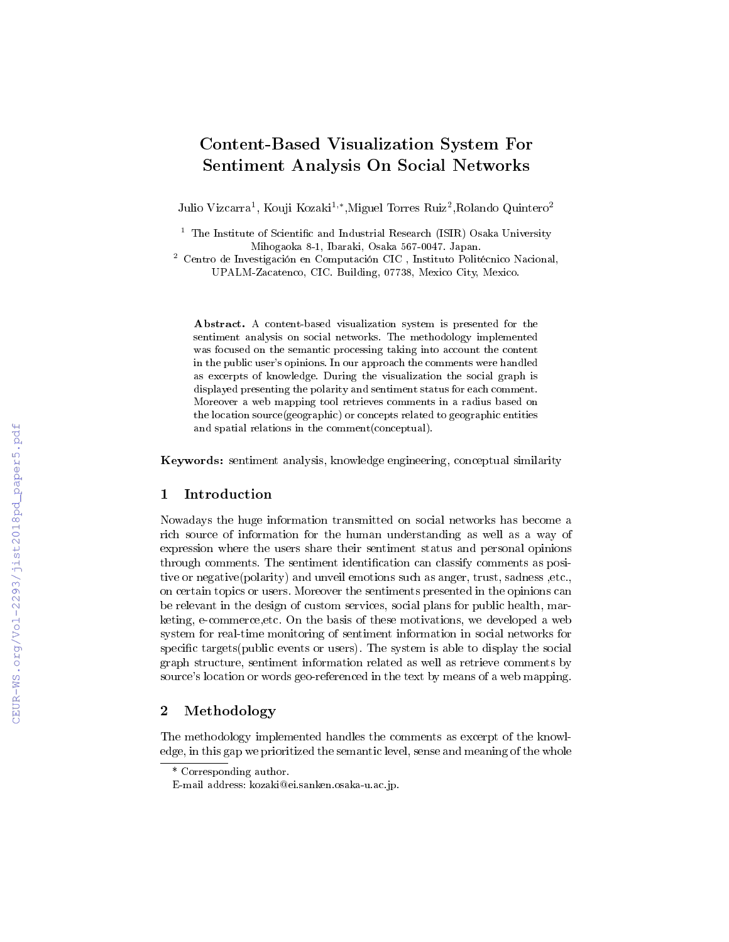# Content-Based Visualization System For Sentiment Analysis On Social Networks

Julio Vizcarra<sup>1</sup>, Kouji Kozaki<sup>1,</sup>\*,Miguel Torres Ruiz<sup>2</sup>,Rolando Quintero<sup>2</sup>

 $1$  The Institute of Scientific and Industrial Research (ISIR) Osaka University Mihogaoka 8-1, Ibaraki, Osaka 567-0047. Japan.

<sup>2</sup> Centro de Investigación en Computación CIC , Instituto Politécnico Nacional, UPALM-Zacatenco, CIC. Building, 07738, Mexico City, Mexico.

Abstract. A content-based visualization system is presented for the sentiment analysis on social networks. The methodology implemented was focused on the semantic processing taking into account the content in the public user's opinions. In our approach the comments were handled as excerpts of knowledge. During the visualization the social graph is displayed presenting the polarity and sentiment status for each comment. Moreover a web mapping tool retrieves comments in a radius based on the location source(geographic) or concepts related to geographic entities and spatial relations in the comment(conceptual).

Keywords: sentiment analysis, knowledge engineering, conceptual similarity

### 1 Introduction

Nowadays the huge information transmitted on social networks has become a rich source of information for the human understanding as well as a way of expression where the users share their sentiment status and personal opinions through comments. The sentiment identification can classify comments as positive or negative(polarity) and unveil emotions such as anger, trust, sadness ,etc., on certain topics or users. Moreover the sentiments presented in the opinions can be relevant in the design of custom services, social plans for public health, marketing, e-commerce,etc. On the basis of these motivations, we developed a web system for real-time monitoring of sentiment information in social networks for specific targets(public events or users). The system is able to display the social graph structure, sentiment information related as well as retrieve comments by source's location or words geo-referenced in the text by means of a web mapping.

## 2 Methodology

The methodology implemented handles the comments as excerpt of the knowledge, in this gap we prioritized the semantic level, sense and meaning of the whole

<sup>\*</sup> Corresponding author.

E-mail address: kozaki@ei.sanken.osaka-u.ac.jp.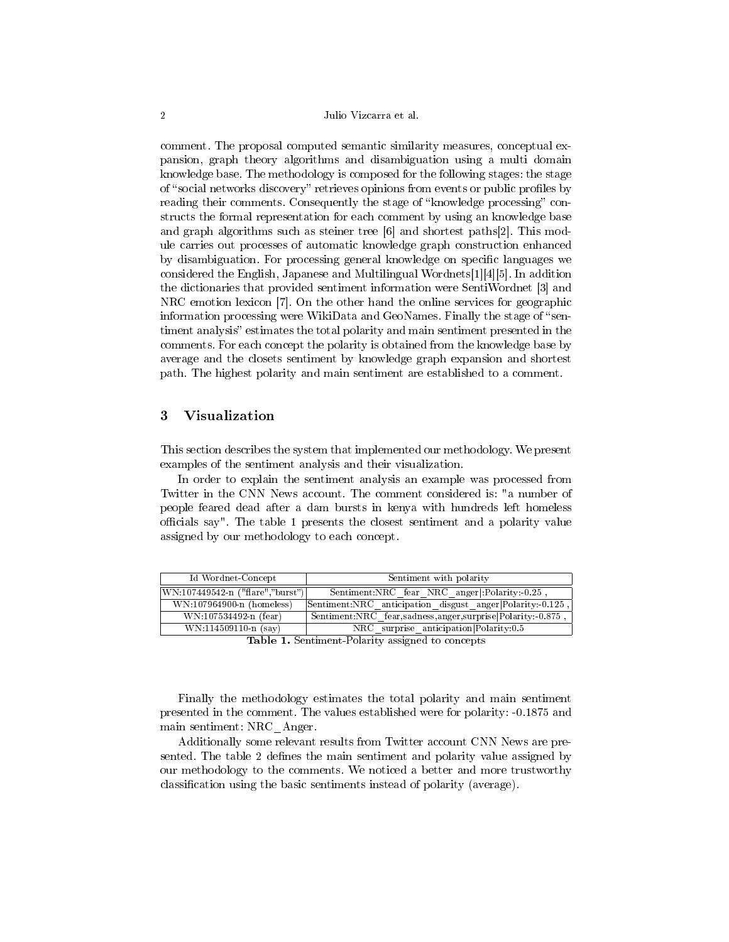#### 2 Julio Vizcarra et al.

comment. The proposal computed semantic similarity measures, conceptual expansion, graph theory algorithms and disambiguation using a multi domain knowledge base. The methodology is composed for the following stages: the stage of "social networks discovery" retrieves opinions from events or public profiles by reading their comments. Consequently the stage of "knowledge processing" constructs the formal representation for each comment by using an knowledge base and graph algorithms such as steiner tree [6] and shortest paths[2]. This module carries out processes of automatic knowledge graph construction enhanced by disambiguation. For processing general knowledge on specific languages we considered the English, Japanese and Multilingual Wordnets[1][4][5]. In addition the dictionaries that provided sentiment information were SentiWordnet [3] and NRC emotion lexicon [7]. On the other hand the online services for geographic information processing were WikiData and GeoNames. Finally the stage of "sentiment analysis" estimates the total polarity and main sentiment presented in the comments. For each concept the polarity is obtained from the knowledge base by average and the closets sentiment by knowledge graph expansion and shortest path. The highest polarity and main sentiment are established to a comment.

### 3 Visualization

This section describes the system that implemented our methodology. We present examples of the sentiment analysis and their visualization.

In order to explain the sentiment analysis an example was processed from Twitter in the CNN News account. The comment considered is: "a number of people feared dead after a dam bursts in kenya with hundreds left homeless officials say". The table 1 presents the closest sentiment and a polarity value assigned by our methodology to each concept.

| Id Wordnet-Concept               | Sentiment with polarity                                    |
|----------------------------------|------------------------------------------------------------|
| WN:107449542-n ("flare","burst") | Sentiment:NRC fear NRC anger:Polarity:-0.25                |
| WN:107964900-n (homeless)        | Sentiment:NRC anticipation disgust anger Polarity:-0.125   |
| WN:107534492-n (fear)            | Sentiment:NRC_fear,sadness,anger,surprise Polarity:-0.875, |
| $WN:114509110-n$ (say)           | NRC surprise anticipation Polarity: 0.5                    |

Table 1. Sentiment-Polarity assigned to concepts

Finally the methodology estimates the total polarity and main sentiment presented in the comment. The values established were for polarity: -0.1875 and main sentiment: NRC\_Anger.

Additionally some relevant results from Twitter account CNN News are presented. The table 2 defines the main sentiment and polarity value assigned by our methodology to the comments. We noticed a better and more trustworthy classification using the basic sentiments instead of polarity (average).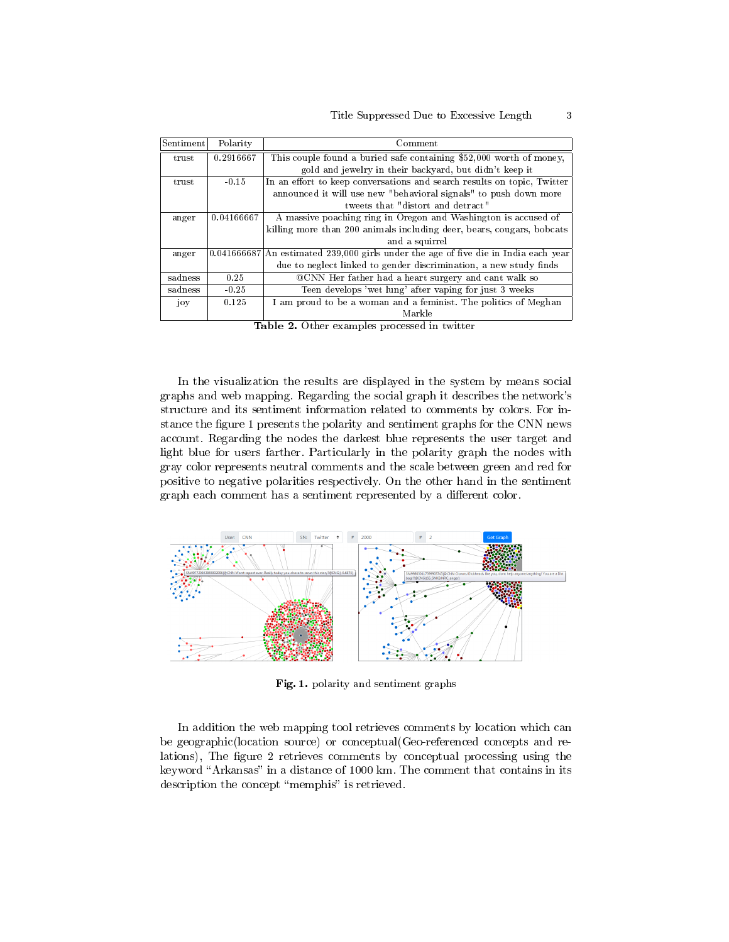#### Title Suppressed Due to Excessive Length 3

| Sentiment       | Polarity   | Comment                                                                               |
|-----------------|------------|---------------------------------------------------------------------------------------|
| trust           | 0.2916667  | This couple found a buried safe containing \$52,000 worth of money.                   |
|                 |            | gold and jewelry in their backyard, but didn't keep it                                |
| true            | $-0.15$    | In an effort to keep conversations and search results on topic. Twitter               |
|                 |            | announced it will use new "behavioral signals" to push down more                      |
|                 |            | tweets that "distort and detract"                                                     |
| anger           | 0.04166667 | A massive poaching ring in Oregon and Washington is accused of                        |
|                 |            | killing more than 200 animals including deer, bears, cougars, bobcats                 |
|                 |            | and a squirrel                                                                        |
| anger           |            | $0.041666687$ An estimated 239,000 girls under the age of five die in India each year |
|                 |            | due to neglect linked to gender discrimination, a new study finds                     |
| sadness         | 0.25       | QCNN Her father had a heart surgery and cant walk so                                  |
| sadness         | $-0.25$    | Teen develops 'wet lung' after vaping for just 3 weeks                                |
| 10 <sub>y</sub> | 0.125      | I am proud to be a woman and a feminist. The politics of Meghan                       |
|                 |            | Markle                                                                                |

Table 2. Other examples processed in twitter

In the visualization the results are displayed in the system by means social graphs and web mapping. Regarding the social graph it describes the network's structure and its sentiment information related to comments by colors. For instance the figure 1 presents the polarity and sentiment graphs for the CNN news account. Regarding the nodes the darkest blue represents the user target and light blue for users farther. Particularly in the polarity graph the nodes with gray color represents neutral comments and the scale between green and red for positive to negative polarities respectively. On the other hand in the sentiment graph each comment has a sentiment represented by a different color.



Fig. 1. polarity and sentiment graphs

In addition the web mapping tool retrieves comments by location which can be geographic(location source) or conceptual(Geo-referenced concepts and relations), The figure 2 retrieves comments by conceptual processing using the keyword "Arkansas" in a distance of 1000 km. The comment that contains in its description the concept "memphis" is retrieved.